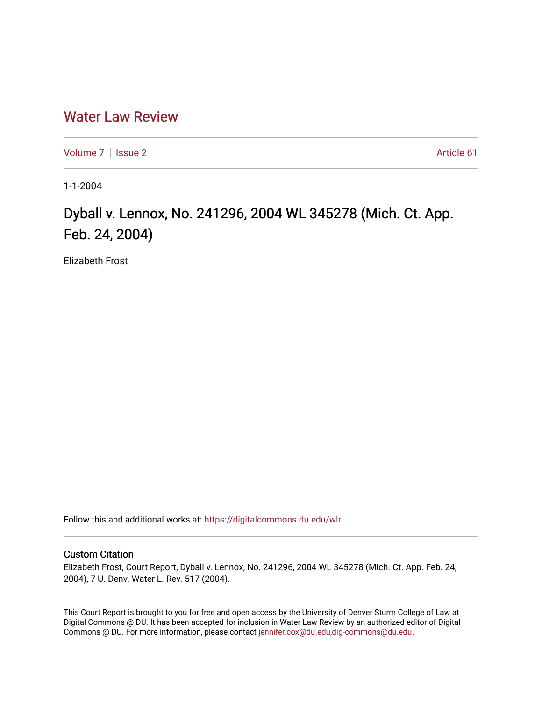## [Water Law Review](https://digitalcommons.du.edu/wlr)

[Volume 7](https://digitalcommons.du.edu/wlr/vol7) | [Issue 2](https://digitalcommons.du.edu/wlr/vol7/iss2) Article 61

1-1-2004

## Dyball v. Lennox, No. 241296, 2004 WL 345278 (Mich. Ct. App. Feb. 24, 2004)

Elizabeth Frost

Follow this and additional works at: [https://digitalcommons.du.edu/wlr](https://digitalcommons.du.edu/wlr?utm_source=digitalcommons.du.edu%2Fwlr%2Fvol7%2Fiss2%2F61&utm_medium=PDF&utm_campaign=PDFCoverPages) 

## Custom Citation

Elizabeth Frost, Court Report, Dyball v. Lennox, No. 241296, 2004 WL 345278 (Mich. Ct. App. Feb. 24, 2004), 7 U. Denv. Water L. Rev. 517 (2004).

This Court Report is brought to you for free and open access by the University of Denver Sturm College of Law at Digital Commons @ DU. It has been accepted for inclusion in Water Law Review by an authorized editor of Digital Commons @ DU. For more information, please contact [jennifer.cox@du.edu,dig-commons@du.edu.](mailto:jennifer.cox@du.edu,dig-commons@du.edu)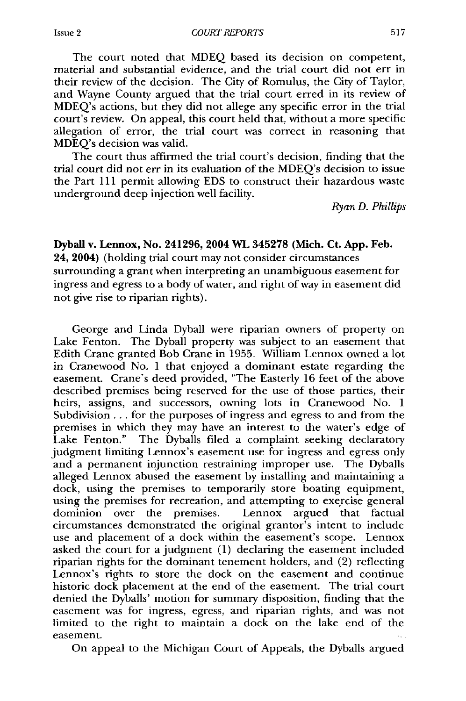The court noted that MDEQ based its decision on competent, material and substantial evidence, and the trial court did not err in their review of the decision. The City of Romulus, the City of Taylor, and Wayne County argued that the trial court erred in its review of MDEQ's actions, but they did not allege any specific error in the trial court's review. On appeal, this court held that, without a more specific allegation of error, the trial court was correct in reasoning that MDEQ's decision was valid.

The court thus affirmed the trial court's decision, finding that the trial court did not err in its evaluation of the MDEQ's decision to issue the Part 111 permit allowing EDS to construct their hazardous waste underground deep injection well facility.

*Ryan D. Phillips*

**Dyball** v. Lennox, No. **241296, 2004 WL 345278 (Mich. Ct. App. Feb. 24, 2004)** (holding trial court may not consider circumstances surrounding a grant when interpreting an unambiguous easement for ingress and egress to a body of water, and right of way in easement did not give rise to riparian rights).

George and Linda Dyball were riparian owners of property on Lake Fenton. The Dyball property was subject to an easement that Edith Crane granted Bob Crane in **1955.** William Lennox owned a lot in Cranewood No. **1** that enjoyed a dominant estate regarding the easement. Crane's deed provided, "The Easterly **16** feet of the above described premises being reserved for the use of those parties, their heirs, assigns, and successors, owning lots in Cranewood No. **I** Subdivision... for the purposes of ingress and egress to and from the premises in which they may have an interest to the water's edge of Lake Fenton." The Dyballs filed a complaint seeking declaratory judgment limiting Lennox's easement use for ingress and egress only and a permanent injunction restraining improper use. The Dyballs alleged Lennox abused the easement by installing and maintaining a dock, using the premises to temporarily store boating equipment, using the premises for recreation, and attempting to exercise general dominion over the premises. Lennox argued that factual circumstances demonstrated the original grantor's intent to include use and placement of a dock within the easement's scope. Lennox asked the court for a judgment (1) declaring the easement included riparian rights for the dominant tenement holders, and (2) reflecting Lennox's rights to store the dock on the easement and continue historic dock placement at the end of the easement. The trial court denied the Dyballs' motion for summary disposition, finding that the easement was for ingress, egress, and riparian rights, and was not limited to the right to maintain a dock on the lake end of the easement.

On appeal to the Michigan Court of Appeals, the Dyballs argued